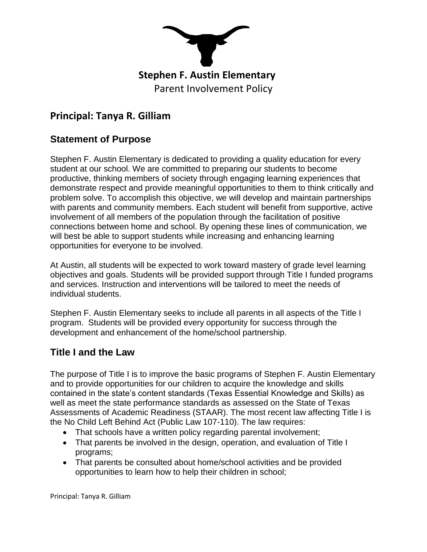

# **Principal: Tanya R. Gilliam**

#### **Statement of Purpose**

Stephen F. Austin Elementary is dedicated to providing a quality education for every student at our school. We are committed to preparing our students to become productive, thinking members of society through engaging learning experiences that demonstrate respect and provide meaningful opportunities to them to think critically and problem solve. To accomplish this objective, we will develop and maintain partnerships with parents and community members. Each student will benefit from supportive, active involvement of all members of the population through the facilitation of positive connections between home and school. By opening these lines of communication, we will best be able to support students while increasing and enhancing learning opportunities for everyone to be involved.

At Austin, all students will be expected to work toward mastery of grade level learning objectives and goals. Students will be provided support through Title I funded programs and services. Instruction and interventions will be tailored to meet the needs of individual students.

Stephen F. Austin Elementary seeks to include all parents in all aspects of the Title I program. Students will be provided every opportunity for success through the development and enhancement of the home/school partnership.

#### **Title I and the Law**

The purpose of Title I is to improve the basic programs of Stephen F. Austin Elementary and to provide opportunities for our children to acquire the knowledge and skills contained in the state's content standards (Texas Essential Knowledge and Skills) as well as meet the state performance standards as assessed on the State of Texas Assessments of Academic Readiness (STAAR). The most recent law affecting Title I is the No Child Left Behind Act (Public Law 107-110). The law requires:

- That schools have a written policy regarding parental involvement;
- That parents be involved in the design, operation, and evaluation of Title I programs;
- That parents be consulted about home/school activities and be provided opportunities to learn how to help their children in school;

Principal: Tanya R. Gilliam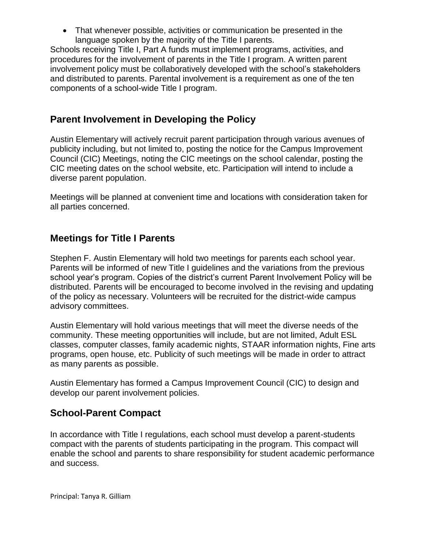That whenever possible, activities or communication be presented in the language spoken by the majority of the Title I parents.

Schools receiving Title I, Part A funds must implement programs, activities, and procedures for the involvement of parents in the Title I program. A written parent involvement policy must be collaboratively developed with the school's stakeholders and distributed to parents. Parental involvement is a requirement as one of the ten components of a school-wide Title I program.

### **Parent Involvement in Developing the Policy**

Austin Elementary will actively recruit parent participation through various avenues of publicity including, but not limited to, posting the notice for the Campus Improvement Council (CIC) Meetings, noting the CIC meetings on the school calendar, posting the CIC meeting dates on the school website, etc. Participation will intend to include a diverse parent population.

Meetings will be planned at convenient time and locations with consideration taken for all parties concerned.

## **Meetings for Title I Parents**

Stephen F. Austin Elementary will hold two meetings for parents each school year. Parents will be informed of new Title I guidelines and the variations from the previous school year's program. Copies of the district's current Parent Involvement Policy will be distributed. Parents will be encouraged to become involved in the revising and updating of the policy as necessary. Volunteers will be recruited for the district-wide campus advisory committees.

Austin Elementary will hold various meetings that will meet the diverse needs of the community. These meeting opportunities will include, but are not limited, Adult ESL classes, computer classes, family academic nights, STAAR information nights, Fine arts programs, open house, etc. Publicity of such meetings will be made in order to attract as many parents as possible.

Austin Elementary has formed a Campus Improvement Council (CIC) to design and develop our parent involvement policies.

#### **School-Parent Compact**

In accordance with Title I regulations, each school must develop a parent-students compact with the parents of students participating in the program. This compact will enable the school and parents to share responsibility for student academic performance and success.

Principal: Tanya R. Gilliam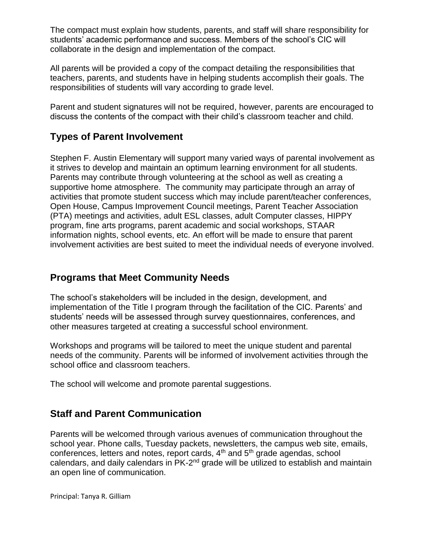The compact must explain how students, parents, and staff will share responsibility for students' academic performance and success. Members of the school's CIC will collaborate in the design and implementation of the compact.

All parents will be provided a copy of the compact detailing the responsibilities that teachers, parents, and students have in helping students accomplish their goals. The responsibilities of students will vary according to grade level.

Parent and student signatures will not be required, however, parents are encouraged to discuss the contents of the compact with their child's classroom teacher and child.

## **Types of Parent Involvement**

Stephen F. Austin Elementary will support many varied ways of parental involvement as it strives to develop and maintain an optimum learning environment for all students. Parents may contribute through volunteering at the school as well as creating a supportive home atmosphere. The community may participate through an array of activities that promote student success which may include parent/teacher conferences, Open House, Campus Improvement Council meetings, Parent Teacher Association (PTA) meetings and activities, adult ESL classes, adult Computer classes, HIPPY program, fine arts programs, parent academic and social workshops, STAAR information nights, school events, etc. An effort will be made to ensure that parent involvement activities are best suited to meet the individual needs of everyone involved.

#### **Programs that Meet Community Needs**

The school's stakeholders will be included in the design, development, and implementation of the Title I program through the facilitation of the CIC. Parents' and students' needs will be assessed through survey questionnaires, conferences, and other measures targeted at creating a successful school environment.

Workshops and programs will be tailored to meet the unique student and parental needs of the community. Parents will be informed of involvement activities through the school office and classroom teachers.

The school will welcome and promote parental suggestions.

#### **Staff and Parent Communication**

Parents will be welcomed through various avenues of communication throughout the school year. Phone calls, Tuesday packets, newsletters, the campus web site, emails, conferences, letters and notes, report cards, 4<sup>th</sup> and 5<sup>th</sup> grade agendas, school calendars, and daily calendars in PK-2<sup>nd</sup> grade will be utilized to establish and maintain an open line of communication.

Principal: Tanya R. Gilliam